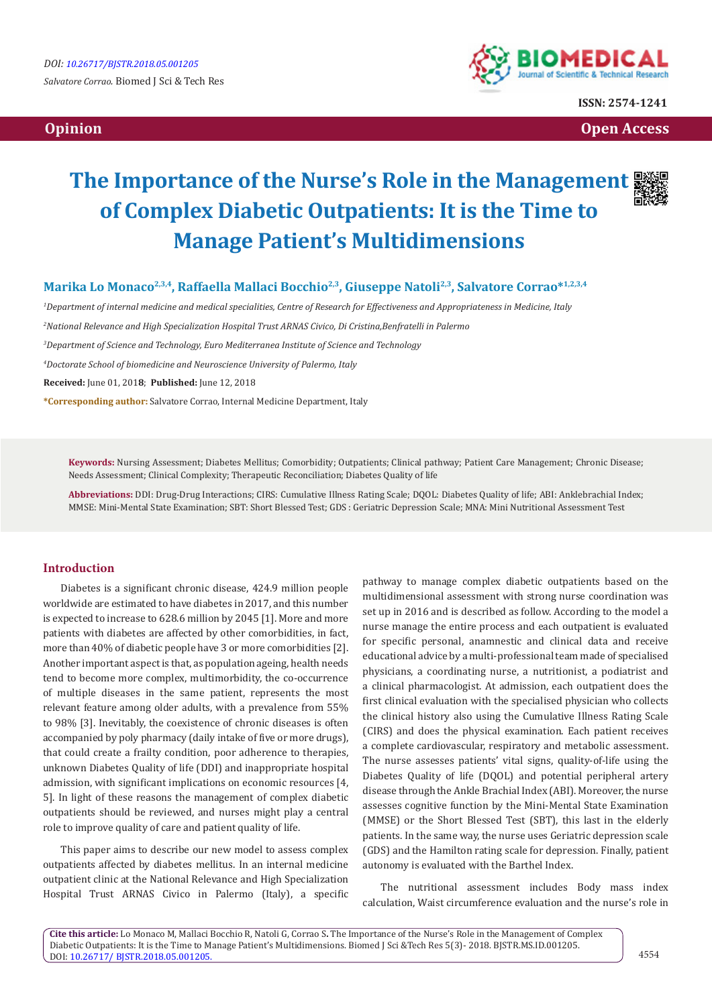

**ISSN: 2574-1241**

 **Opinion Open Access** 

# **The Importance of the Nurse's Role in the Management of Complex Diabetic Outpatients: It is the Time to Manage Patient's Multidimensions**



Marika Lo Monaco<sup>2,3,4</sup>, Raffaella Mallaci Bocchio<sup>2,3</sup>, Giuseppe Natoli<sup>2,3</sup>, Salvatore Corrao\*<sup>1,2,3,4</sup>

 *Department of internal medicine and medical specialities, Centre of Research for Effectiveness and Appropriateness in Medicine, Italy National Relevance and High Specialization Hospital Trust ARNAS Civico, Di Cristina,Benfratelli in Palermo Department of Science and Technology, Euro Mediterranea Institute of Science and Technology Doctorate School of biomedicine and Neuroscience University of Palermo, Italy* **Received:** June 01, 201**8**; **Published:** June 12, 2018 **\*Corresponding author:** Salvatore Corrao, Internal Medicine Department, Italy

**Keywords:** Nursing Assessment; Diabetes Mellitus; Comorbidity; Outpatients; Clinical pathway; Patient Care Management; Chronic Disease; Needs Assessment; Clinical Complexity; Therapeutic Reconciliation; Diabetes Quality of life

**Abbreviations:** DDI: Drug-Drug Interactions; CIRS: Cumulative Illness Rating Scale; DQOL: Diabetes Quality of life; ABI: Anklebrachial Index; MMSE: Mini-Mental State Examination; SBT: Short Blessed Test; GDS : Geriatric Depression Scale; MNA: Mini Nutritional Assessment Test

## **Introduction**

Diabetes is a significant chronic disease, 424.9 million people worldwide are estimated to have diabetes in 2017, and this number is expected to increase to 628.6 million by 2045 [1]. More and more patients with diabetes are affected by other comorbidities, in fact, more than 40% of diabetic people have 3 or more comorbidities [2]. Another important aspect is that, as population ageing, health needs tend to become more complex, multimorbidity, the co-occurrence of multiple diseases in the same patient, represents the most relevant feature among older adults, with a prevalence from 55% to 98% [3]. Inevitably, the coexistence of chronic diseases is often accompanied by poly pharmacy (daily intake of five or more drugs), that could create a frailty condition, poor adherence to therapies, unknown Diabetes Quality of life (DDI) and inappropriate hospital admission, with significant implications on economic resources [4, 5]. In light of these reasons the management of complex diabetic outpatients should be reviewed, and nurses might play a central role to improve quality of care and patient quality of life.

This paper aims to describe our new model to assess complex outpatients affected by diabetes mellitus. In an internal medicine outpatient clinic at the National Relevance and High Specialization Hospital Trust ARNAS Civico in Palermo (Italy), a specific pathway to manage complex diabetic outpatients based on the multidimensional assessment with strong nurse coordination was set up in 2016 and is described as follow. According to the model a nurse manage the entire process and each outpatient is evaluated for specific personal, anamnestic and clinical data and receive educational advice by a multi-professional team made of specialised physicians, a coordinating nurse, a nutritionist, a podiatrist and a clinical pharmacologist. At admission, each outpatient does the first clinical evaluation with the specialised physician who collects the clinical history also using the Cumulative Illness Rating Scale (CIRS) and does the physical examination. Each patient receives a complete cardiovascular, respiratory and metabolic assessment. The nurse assesses patients' vital signs, quality-of-life using the Diabetes Quality of life (DQOL) and potential peripheral artery disease through the Ankle Brachial Index (ABI). Moreover, the nurse assesses cognitive function by the Mini-Mental State Examination (MMSE) or the Short Blessed Test (SBT), this last in the elderly patients. In the same way, the nurse uses Geriatric depression scale (GDS) and the Hamilton rating scale for depression. Finally, patient autonomy is evaluated with the Barthel Index.

The nutritional assessment includes Body mass index calculation, Waist circumference evaluation and the nurse's role in

**Cite this article:** Lo Monaco M, Mallaci Bocchio R, Natoli G, Corrao S**.** The Importance of the Nurse's Role in the Management of Complex Diabetic Outpatients: It is the Time to Manage Patient's Multidimensions. Biomed J Sci &Tech Res 5(3)- 2018. BJSTR.MS.ID.001205. DOI: [10.26717/ BJSTR.2018.05.001205](http://dx.doi.org/10.26717/BJSTR.2018.05.001205)